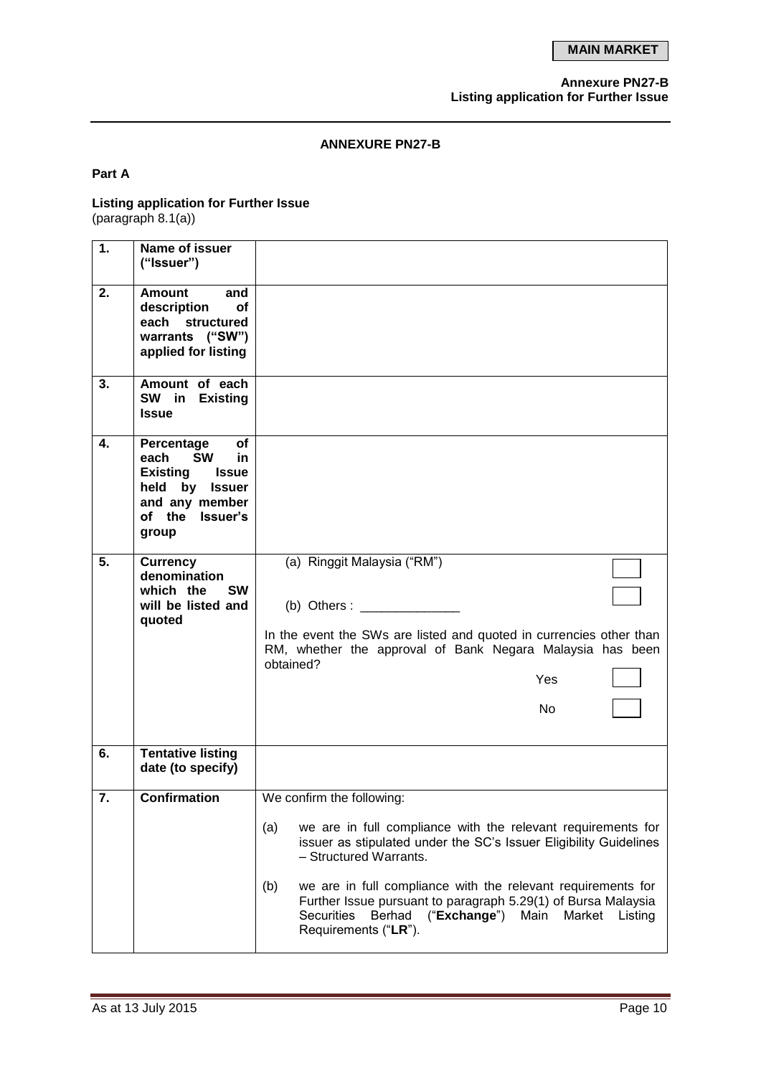### **Annexure PN27-B Listing application for Further Issue**

## **ANNEXURE PN27-B**

## **Part A**

#### **Listing application for Further Issue** (paragraph 8.1(a))

| 1. | Name of issuer<br>("Issuer")                                                                                                                       |                                                                                                                                                                                                                                                                                                                                                                                                                                            |
|----|----------------------------------------------------------------------------------------------------------------------------------------------------|--------------------------------------------------------------------------------------------------------------------------------------------------------------------------------------------------------------------------------------------------------------------------------------------------------------------------------------------------------------------------------------------------------------------------------------------|
| 2. | <b>Amount</b><br>and<br>description<br>οf<br>each structured<br>warrants ("SW")<br>applied for listing                                             |                                                                                                                                                                                                                                                                                                                                                                                                                                            |
| 3. | Amount of each<br>SW in Existing<br><b>Issue</b>                                                                                                   |                                                                                                                                                                                                                                                                                                                                                                                                                                            |
| 4. | Percentage<br>оf<br><b>SW</b><br>each<br>in.<br><b>Existing</b><br><b>Issue</b><br>by Issuer<br>held<br>and any member<br>of the Issuer's<br>group |                                                                                                                                                                                                                                                                                                                                                                                                                                            |
| 5. | <b>Currency</b><br>denomination<br>which the<br><b>SW</b><br>will be listed and<br>quoted                                                          | (a) Ringgit Malaysia ("RM")<br>$(b)$ Others :<br>In the event the SWs are listed and quoted in currencies other than<br>RM, whether the approval of Bank Negara Malaysia has been<br>obtained?<br>Yes<br>N <sub>o</sub>                                                                                                                                                                                                                    |
| 6. | <b>Tentative listing</b><br>date (to specify)                                                                                                      |                                                                                                                                                                                                                                                                                                                                                                                                                                            |
| 7. | <b>Confirmation</b>                                                                                                                                | We confirm the following:<br>(a)<br>we are in full compliance with the relevant requirements for<br>issuer as stipulated under the SC's Issuer Eligibility Guidelines<br>- Structured Warrants.<br>(b)<br>we are in full compliance with the relevant requirements for<br>Further Issue pursuant to paragraph 5.29(1) of Bursa Malaysia<br>Berhad<br>(" <b>Exchange</b> ") Main<br>Securities<br>Market<br>Listing<br>Requirements ("LR"). |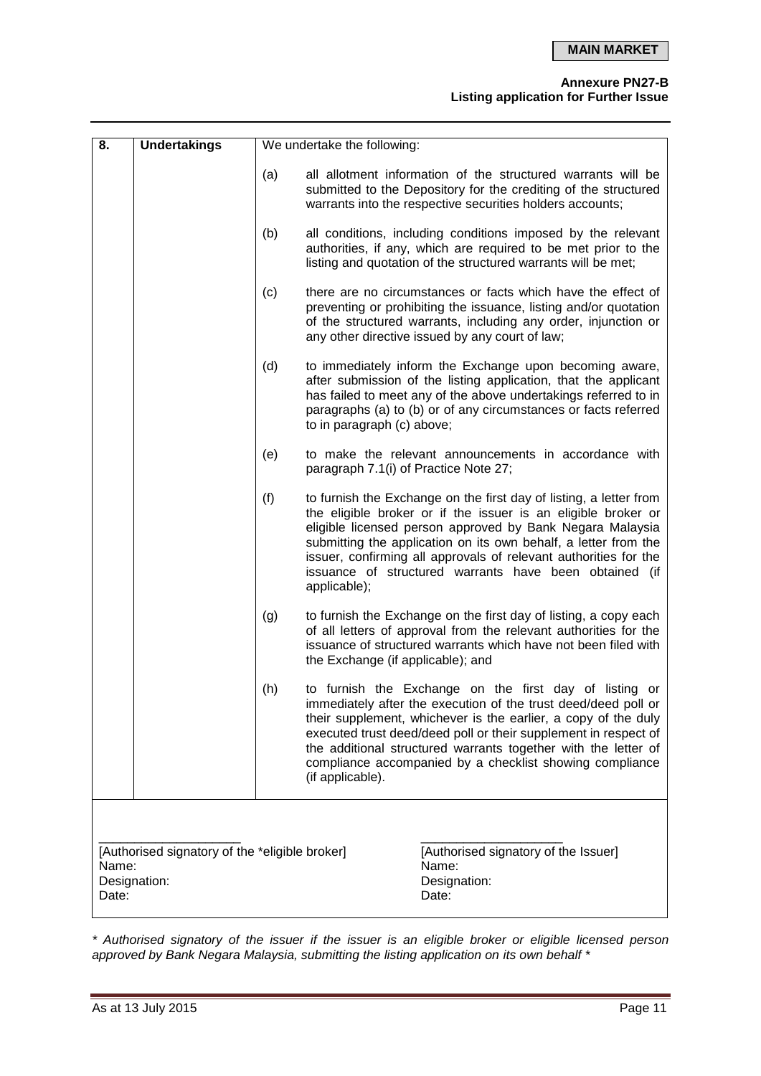# **Annexure PN27-B**

**Listing application for Further Issue**

| 8.    | <b>Undertakings</b>                                                                                                                               | We undertake the following: |                                                                                                                                                                                                                                                                                                                                                                                                                   |  |  |
|-------|---------------------------------------------------------------------------------------------------------------------------------------------------|-----------------------------|-------------------------------------------------------------------------------------------------------------------------------------------------------------------------------------------------------------------------------------------------------------------------------------------------------------------------------------------------------------------------------------------------------------------|--|--|
|       |                                                                                                                                                   | (a)                         | all allotment information of the structured warrants will be<br>submitted to the Depository for the crediting of the structured<br>warrants into the respective securities holders accounts;                                                                                                                                                                                                                      |  |  |
|       |                                                                                                                                                   | (b)                         | all conditions, including conditions imposed by the relevant<br>authorities, if any, which are required to be met prior to the<br>listing and quotation of the structured warrants will be met;                                                                                                                                                                                                                   |  |  |
|       |                                                                                                                                                   | (c)                         | there are no circumstances or facts which have the effect of<br>preventing or prohibiting the issuance, listing and/or quotation<br>of the structured warrants, including any order, injunction or<br>any other directive issued by any court of law;                                                                                                                                                             |  |  |
|       |                                                                                                                                                   | (d)                         | to immediately inform the Exchange upon becoming aware,<br>after submission of the listing application, that the applicant<br>has failed to meet any of the above undertakings referred to in<br>paragraphs (a) to (b) or of any circumstances or facts referred<br>to in paragraph (c) above;                                                                                                                    |  |  |
|       |                                                                                                                                                   | (e)                         | to make the relevant announcements in accordance with<br>paragraph 7.1(i) of Practice Note 27;                                                                                                                                                                                                                                                                                                                    |  |  |
|       |                                                                                                                                                   | (f)                         | to furnish the Exchange on the first day of listing, a letter from<br>the eligible broker or if the issuer is an eligible broker or<br>eligible licensed person approved by Bank Negara Malaysia<br>submitting the application on its own behalf, a letter from the<br>issuer, confirming all approvals of relevant authorities for the<br>issuance of structured warrants have been obtained (if<br>applicable); |  |  |
|       |                                                                                                                                                   | (g)                         | to furnish the Exchange on the first day of listing, a copy each<br>of all letters of approval from the relevant authorities for the<br>issuance of structured warrants which have not been filed with<br>the Exchange (if applicable); and                                                                                                                                                                       |  |  |
|       |                                                                                                                                                   | (h)                         | to furnish the Exchange on the first day of listing or<br>immediately after the execution of the trust deed/deed poll or<br>their supplement, whichever is the earlier, a copy of the duly<br>executed trust deed/deed poll or their supplement in respect of<br>the additional structured warrants together with the letter of<br>compliance accompanied by a checklist showing compliance<br>(if applicable).   |  |  |
|       |                                                                                                                                                   |                             |                                                                                                                                                                                                                                                                                                                                                                                                                   |  |  |
| Date: | [Authorised signatory of the *eligible broker]<br>[Authorised signatory of the Issuer]<br>Name:<br>Name:<br>Designation:<br>Designation:<br>Date: |                             |                                                                                                                                                                                                                                                                                                                                                                                                                   |  |  |

*\* Authorised signatory of the issuer if the issuer is an eligible broker or eligible licensed person approved by Bank Negara Malaysia, submitting the listing application on its own behalf \**